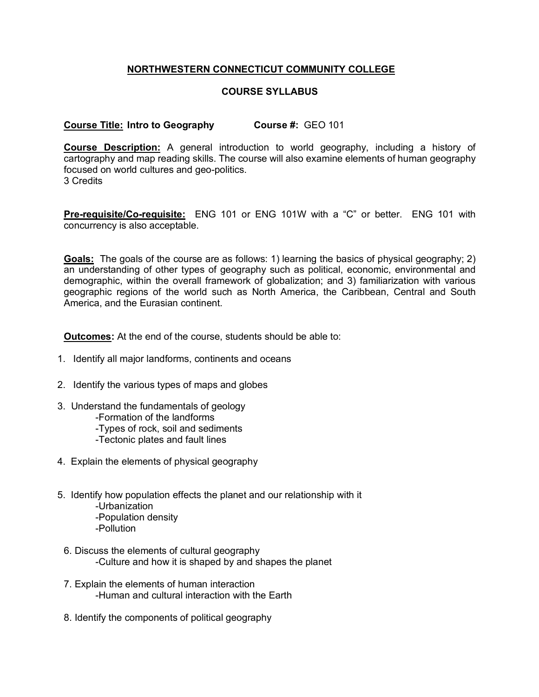## **NORTHWESTERN CONNECTICUT COMMUNITY COLLEGE**

## **COURSE SYLLABUS**

## **Course Title: Intro to Geography Course #:** GEO 101

**Course Description:** A general introduction to world geography, including a history of cartography and map reading skills. The course will also examine elements of human geography focused on world cultures and geo-politics. 3 Credits

**Pre-requisite/Co-requisite:** ENG 101 or ENG 101W with a "C" or better. ENG 101 with concurrency is also acceptable.

**Goals:** The goals of the course are as follows: 1) learning the basics of physical geography; 2) an understanding of other types of geography such as political, economic, environmental and demographic, within the overall framework of globalization; and 3) familiarization with various geographic regions of the world such as North America, the Caribbean, Central and South America, and the Eurasian continent.

**Outcomes:** At the end of the course, students should be able to:

- 1. Identify all major landforms, continents and oceans
- 2. Identify the various types of maps and globes
- 3. Understand the fundamentals of geology
	- -Formation of the landforms
	- -Types of rock, soil and sediments
	- -Tectonic plates and fault lines
- 4. Explain the elements of physical geography
- 5. Identify how population effects the planet and our relationship with it
	- -Urbanization
	- -Population density
	- -Pollution
- 6. Discuss the elements of cultural geography -Culture and how it is shaped by and shapes the planet
- 7. Explain the elements of human interaction -Human and cultural interaction with the Earth
- 8. Identify the components of political geography